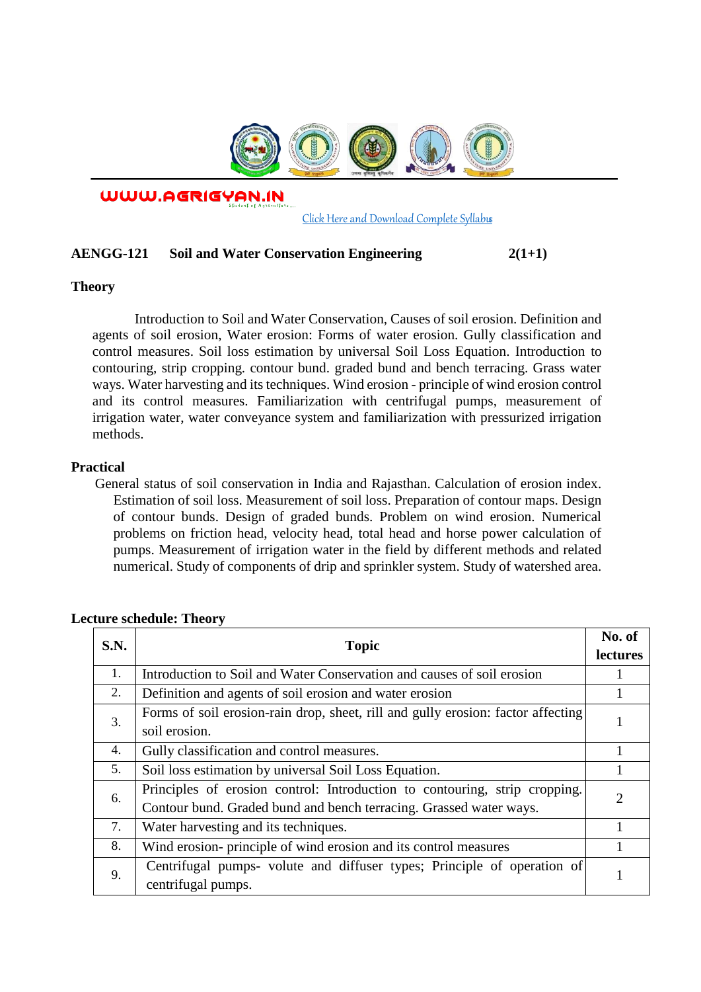

WWW.AGRIGYAN.IN

[Click Here and Download Complete Syllabus](http://agrigyan.in/)

## **AENGG-121 Soil and Water Conservation Engineering 2(1+1)**

### **Theory**

 $\overline{a}$ 

Introduction to Soil and Water Conservation, Causes of soil erosion. Definition and agents of soil erosion, Water erosion: Forms of water erosion. Gully classification and control measures. Soil loss estimation by universal Soil Loss Equation. Introduction to contouring, strip cropping. contour bund. graded bund and bench terracing. Grass water ways. Water harvesting and its techniques. Wind erosion - principle of wind erosion control and its control measures. Familiarization with centrifugal pumps, measurement of irrigation water, water conveyance system and familiarization with pressurized irrigation methods.

## **Practical**

General status of soil conservation in India and Rajasthan. Calculation of erosion index. Estimation of soil loss. Measurement of soil loss. Preparation of contour maps. Design of contour bunds. Design of graded bunds. Problem on wind erosion. Numerical problems on friction head, velocity head, total head and horse power calculation of pumps. Measurement of irrigation water in the field by different methods and related numerical. Study of components of drip and sprinkler system. Study of watershed area.

| S.N. | <b>Topic</b>                                                                                                                                     | No. of<br>lectures |
|------|--------------------------------------------------------------------------------------------------------------------------------------------------|--------------------|
| 1.   | Introduction to Soil and Water Conservation and causes of soil erosion                                                                           |                    |
| 2.   | Definition and agents of soil erosion and water erosion                                                                                          |                    |
| 3.   | Forms of soil erosion-rain drop, sheet, rill and gully erosion: factor affecting<br>soil erosion.                                                |                    |
| 4.   | Gully classification and control measures.                                                                                                       |                    |
| 5.   | Soil loss estimation by universal Soil Loss Equation.                                                                                            |                    |
| 6.   | Principles of erosion control: Introduction to contouring, strip cropping.<br>Contour bund. Graded bund and bench terracing. Grassed water ways. | $\overline{2}$     |
| 7.   | Water harvesting and its techniques.                                                                                                             |                    |
| 8.   | Wind erosion- principle of wind erosion and its control measures                                                                                 |                    |
| 9.   | Centrifugal pumps- volute and diffuser types; Principle of operation of<br>centrifugal pumps.                                                    |                    |

### **Lecture schedule: Theory**